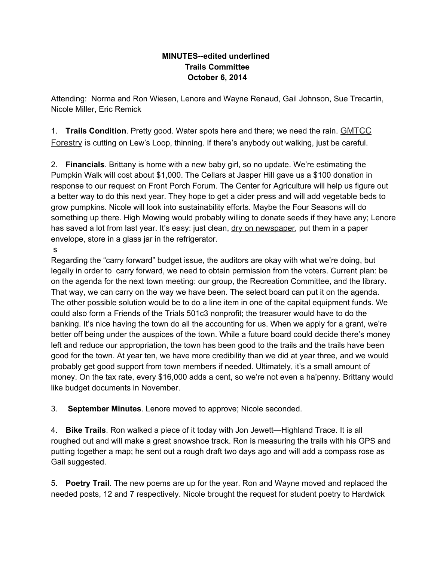## **MINUTES--edited underlined Trails Committee October 6, 2014**

Attending: Norma and Ron Wiesen, Lenore and Wayne Renaud, Gail Johnson, Sue Trecartin, Nicole Miller, Eric Remick

1. **Trails Condition**. Pretty good. Water spots here and there; we need the rain. GMTCC Forestry is cutting on Lew's Loop, thinning. If there's anybody out walking, just be careful.

2. **Financials**. Brittany is home with a new baby girl, so no update. We're estimating the Pumpkin Walk will cost about \$1,000. The Cellars at Jasper Hill gave us a \$100 donation in response to our request on Front Porch Forum. The Center for Agriculture will help us figure out a better way to do this next year. They hope to get a cider press and will add vegetable beds to grow pumpkins. Nicole will look into sustainability efforts. Maybe the Four Seasons will do something up there. High Mowing would probably willing to donate seeds if they have any; Lenore has saved a lot from last year. It's easy: just clean, dry on newspaper, put them in a paper envelope, store in a glass jar in the refrigerator.

s

Regarding the "carry forward" budget issue, the auditors are okay with what we're doing, but legally in order to carry forward, we need to obtain permission from the voters. Current plan: be on the agenda for the next town meeting: our group, the Recreation Committee, and the library. That way, we can carry on the way we have been. The select board can put it on the agenda. The other possible solution would be to do a line item in one of the capital equipment funds. We could also form a Friends of the Trials 501c3 nonprofit; the treasurer would have to do the banking. It's nice having the town do all the accounting for us. When we apply for a grant, we're better off being under the auspices of the town. While a future board could decide there's money left and reduce our appropriation, the town has been good to the trails and the trails have been good for the town. At year ten, we have more credibility than we did at year three, and we would probably get good support from town members if needed. Ultimately, it's a small amount of money. On the tax rate, every \$16,000 adds a cent, so we're not even a ha'penny. Brittany would like budget documents in November.

3. **September Minutes**. Lenore moved to approve; Nicole seconded.

4. **Bike Trails**. Ron walked a piece of it today with Jon Jewett—Highland Trace. It is all roughed out and will make a great snowshoe track. Ron is measuring the trails with his GPS and putting together a map; he sent out a rough draft two days ago and will add a compass rose as Gail suggested.

5. **Poetry Trail**. The new poems are up for the year. Ron and Wayne moved and replaced the needed posts, 12 and 7 respectively. Nicole brought the request for student poetry to Hardwick